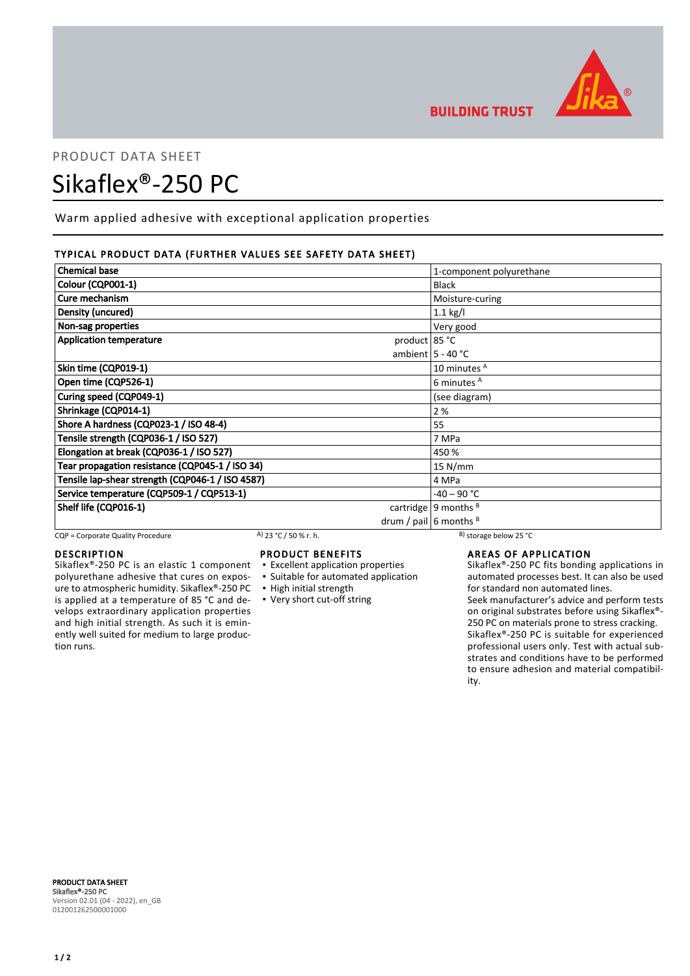

## PRODUCT DATA SHEET

# Sikaflex®-250 PC

Warm applied adhesive with exceptional application properties

## TYPICAL PRODUCT DATA (FURTHER VALUES SEE SAFETY DATA SHEET)

| <b>Chemical base</b>                             | 1-component polyurethane |
|--------------------------------------------------|--------------------------|
| Colour (CQP001-1)                                | <b>Black</b>             |
| Cure mechanism                                   | Moisture-curing          |
| Density (uncured)                                | $1.1$ kg/l               |
| Non-sag properties                               | Very good                |
| <b>Application temperature</b><br>product 85 °C  |                          |
|                                                  | ambient $5 - 40$ °C      |
| Skin time (CQP019-1)                             | 10 minutes A             |
| Open time (CQP526-1)                             | 6 minutes <sup>A</sup>   |
| Curing speed (CQP049-1)                          | (see diagram)            |
| Shrinkage (CQP014-1)                             | 2 %                      |
| Shore A hardness (CQP023-1 / ISO 48-4)           | 55                       |
| Tensile strength (CQP036-1 / ISO 527)            | 7 MPa                    |
| Elongation at break (CQP036-1 / ISO 527)         | 450 %                    |
| Tear propagation resistance (CQP045-1 / ISO 34)  | $15$ N/mm                |
| Tensile lap-shear strength (CQP046-1 / ISO 4587) | 4 MPa                    |
| Service temperature (CQP509-1 / CQP513-1)        | $-40 - 90 °C$            |
| Shelf life (CQP016-1)                            | cartridge   9 months $B$ |
|                                                  | drum / pail 6 months $B$ |

CQP = Corporate Quality Procedure A)  $23 °C / 50 %$  r. h. B) storage below 25 °C

## **DESCRIPTION**

Sikaflex®-250 PC is an elastic 1 component polyurethane adhesive that cures on exposure to atmospheric humidity. Sikaflex®-250 PC is applied at a temperature of 85 °C and develops extraordinary application properties and high initial strength. As such it is eminently well suited for medium to large production runs.

## PRODUCT BENEFITS

- **Excellent application properties**
- **Example 5 Suitable for automated application**
- High initial strength
- Very short cut-off string

## AREAS OF APPLICATION

Sikaflex®-250 PC fits bonding applications in automated processes best. It can also be used for standard non automated lines.

Seek manufacturer's advice and perform tests on original substrates before using Sikaflex®- 250 PC on materials prone to stress cracking. Sikaflex®-250 PC is suitable for experienced professional users only. Test with actual substrates and conditions have to be performed to ensure adhesion and material compatibility.

PRODUCT DATA SHEET Sikaflex®-250 PC Version 02.01 (04 - 2022), en\_GB 012001262500001000